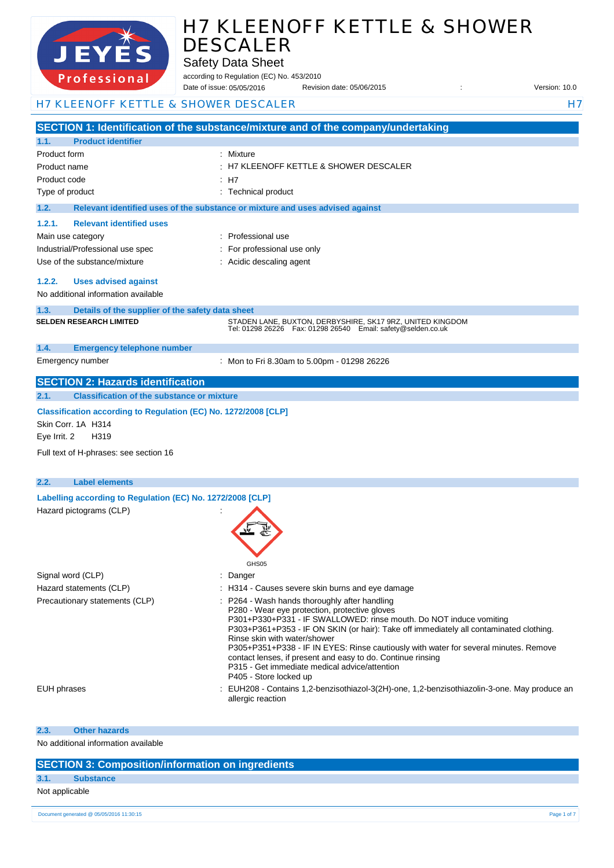

Safety Data Sheet

according to Regulation (EC) No. 453/2010 Date of issue: Revision date: 05/06/2015 : Version: 10.0 Date of issue: 05/05/2016

## H7 KLEENOFF KETTLE & SHOWER DESCALER H7

|                                                                                                                                                         | SECTION 1: Identification of the substance/mixture and of the company/undertaking                                                                                                                                                                                                                                                                                                                                                                                                                                              |
|---------------------------------------------------------------------------------------------------------------------------------------------------------|--------------------------------------------------------------------------------------------------------------------------------------------------------------------------------------------------------------------------------------------------------------------------------------------------------------------------------------------------------------------------------------------------------------------------------------------------------------------------------------------------------------------------------|
| <b>Product identifier</b><br>1.1.                                                                                                                       |                                                                                                                                                                                                                                                                                                                                                                                                                                                                                                                                |
| Product form                                                                                                                                            | Mixture                                                                                                                                                                                                                                                                                                                                                                                                                                                                                                                        |
| Product name                                                                                                                                            | H7 KLEENOFF KETTLE & SHOWER DESCALER                                                                                                                                                                                                                                                                                                                                                                                                                                                                                           |
| Product code                                                                                                                                            | : H7                                                                                                                                                                                                                                                                                                                                                                                                                                                                                                                           |
| Type of product                                                                                                                                         | : Technical product                                                                                                                                                                                                                                                                                                                                                                                                                                                                                                            |
| 1.2.                                                                                                                                                    | Relevant identified uses of the substance or mixture and uses advised against                                                                                                                                                                                                                                                                                                                                                                                                                                                  |
| <b>Relevant identified uses</b><br>1.2.1.                                                                                                               |                                                                                                                                                                                                                                                                                                                                                                                                                                                                                                                                |
| Main use category                                                                                                                                       | Professional use                                                                                                                                                                                                                                                                                                                                                                                                                                                                                                               |
| Industrial/Professional use spec                                                                                                                        | For professional use only                                                                                                                                                                                                                                                                                                                                                                                                                                                                                                      |
| Use of the substance/mixture                                                                                                                            | Acidic descaling agent                                                                                                                                                                                                                                                                                                                                                                                                                                                                                                         |
| 1.2.2.<br><b>Uses advised against</b>                                                                                                                   |                                                                                                                                                                                                                                                                                                                                                                                                                                                                                                                                |
| No additional information available                                                                                                                     |                                                                                                                                                                                                                                                                                                                                                                                                                                                                                                                                |
| Details of the supplier of the safety data sheet<br>1.3.                                                                                                |                                                                                                                                                                                                                                                                                                                                                                                                                                                                                                                                |
| <b>SELDEN RESEARCH LIMITED</b>                                                                                                                          | STADEN LANE, BUXTON, DERBYSHIRE, SK17 9RZ, UNITED KINGDOM<br>Tel: 01298 26226    Fax: 01298 26540    Email: safety@selden.co.uk                                                                                                                                                                                                                                                                                                                                                                                                |
| <b>Emergency telephone number</b><br>1.4.                                                                                                               |                                                                                                                                                                                                                                                                                                                                                                                                                                                                                                                                |
| Emergency number                                                                                                                                        | : Mon to Fri 8.30am to 5.00pm - 01298 26226                                                                                                                                                                                                                                                                                                                                                                                                                                                                                    |
| <b>SECTION 2: Hazards identification</b>                                                                                                                |                                                                                                                                                                                                                                                                                                                                                                                                                                                                                                                                |
| 2.1.<br><b>Classification of the substance or mixture</b>                                                                                               |                                                                                                                                                                                                                                                                                                                                                                                                                                                                                                                                |
| Classification according to Regulation (EC) No. 1272/2008 [CLP]<br>Skin Corr. 1A H314<br>H319<br>Eye Irrit. 2<br>Full text of H-phrases: see section 16 |                                                                                                                                                                                                                                                                                                                                                                                                                                                                                                                                |
| <b>Label elements</b><br>2.2.                                                                                                                           |                                                                                                                                                                                                                                                                                                                                                                                                                                                                                                                                |
| Labelling according to Regulation (EC) No. 1272/2008 [CLP]<br>Hazard pictograms (CLP)                                                                   | GHS05                                                                                                                                                                                                                                                                                                                                                                                                                                                                                                                          |
| Signal word (CLP)                                                                                                                                       | Danger                                                                                                                                                                                                                                                                                                                                                                                                                                                                                                                         |
| Hazard statements (CLP)                                                                                                                                 | : H314 - Causes severe skin burns and eye damage                                                                                                                                                                                                                                                                                                                                                                                                                                                                               |
| Precautionary statements (CLP)                                                                                                                          | P264 - Wash hands thoroughly after handling<br>P280 - Wear eye protection, protective gloves<br>P301+P330+P331 - IF SWALLOWED: rinse mouth. Do NOT induce vomiting<br>P303+P361+P353 - IF ON SKIN (or hair): Take off immediately all contaminated clothing.<br>Rinse skin with water/shower<br>P305+P351+P338 - IF IN EYES: Rinse cautiously with water for several minutes. Remove<br>contact lenses, if present and easy to do. Continue rinsing<br>P315 - Get immediate medical advice/attention<br>P405 - Store locked up |
| <b>EUH</b> phrases                                                                                                                                      | : EUH208 - Contains 1,2-benzisothiazol-3(2H)-one, 1,2-benzisothiazolin-3-one. May produce an<br>allergic reaction                                                                                                                                                                                                                                                                                                                                                                                                              |

#### **2.3. Other hazards**

No additional information available

### **SECTION 3: Composition/information on ingredients**

## **3.1. Substance**

Not applicable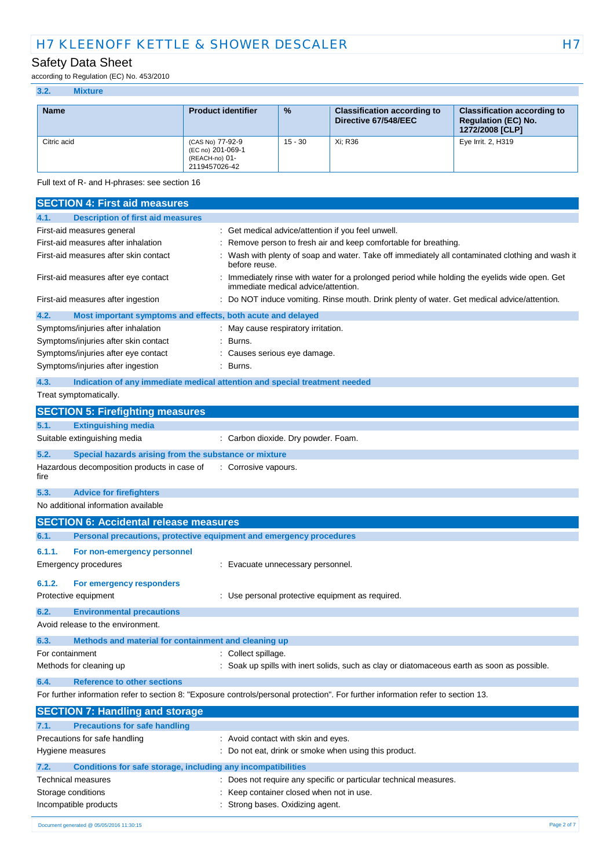## Safety Data Sheet

according to Regulation (EC) No. 453/2010

| <b>Name</b> | <b>Product identifier</b>                                                | $\frac{9}{6}$ | <b>Classification according to</b><br>Directive 67/548/EEC | <b>Classification according to</b><br><b>Regulation (EC) No.</b><br>1272/2008 [CLP] |
|-------------|--------------------------------------------------------------------------|---------------|------------------------------------------------------------|-------------------------------------------------------------------------------------|
| Citric acid | (CAS No) 77-92-9<br>(EC no) 201-069-1<br>(REACH-no) 01-<br>2119457026-42 | $15 - 30$     | Xi: R36                                                    | Eye Irrit. 2, H319                                                                  |

Full text of R- and H-phrases: see section 16

| <b>SECTION 4: First aid measures</b>                                        |                                                                                                                                     |
|-----------------------------------------------------------------------------|-------------------------------------------------------------------------------------------------------------------------------------|
| <b>Description of first aid measures</b><br>4.1.                            |                                                                                                                                     |
| First-aid measures general                                                  | Get medical advice/attention if you feel unwell.                                                                                    |
| First-aid measures after inhalation                                         | Remove person to fresh air and keep comfortable for breathing.                                                                      |
| First-aid measures after skin contact                                       | Wash with plenty of soap and water. Take off immediately all contaminated clothing and wash it<br>before reuse.                     |
| First-aid measures after eye contact                                        | Immediately rinse with water for a prolonged period while holding the eyelids wide open. Get<br>immediate medical advice/attention. |
| First-aid measures after ingestion                                          | Do NOT induce vomiting. Rinse mouth. Drink plenty of water. Get medical advice/attention.                                           |
| 4.2.<br>Most important symptoms and effects, both acute and delayed         |                                                                                                                                     |
| Symptoms/injuries after inhalation                                          | May cause respiratory irritation.                                                                                                   |
| Symptoms/injuries after skin contact                                        | Burns.                                                                                                                              |
| Symptoms/injuries after eye contact                                         | Causes serious eye damage.                                                                                                          |
| Symptoms/injuries after ingestion                                           | Burns.                                                                                                                              |
| 4.3.                                                                        | Indication of any immediate medical attention and special treatment needed                                                          |
| Treat symptomatically.                                                      |                                                                                                                                     |
| <b>SECTION 5: Firefighting measures</b>                                     |                                                                                                                                     |
| <b>Extinguishing media</b><br>5.1.                                          |                                                                                                                                     |
| Suitable extinguishing media                                                | : Carbon dioxide. Dry powder. Foam.                                                                                                 |
| 5.2.<br>Special hazards arising from the substance or mixture               |                                                                                                                                     |
| Hazardous decomposition products in case of<br>fire                         | : Corrosive vapours.                                                                                                                |
| 5.3.<br><b>Advice for firefighters</b>                                      |                                                                                                                                     |
| No additional information available                                         |                                                                                                                                     |
| <b>SECTION 6: Accidental release measures</b>                               |                                                                                                                                     |
| Personal precautions, protective equipment and emergency procedures<br>6.1. |                                                                                                                                     |
| 6.1.1.<br>For non-emergency personnel                                       |                                                                                                                                     |
| <b>Emergency procedures</b>                                                 | Evacuate unnecessary personnel.                                                                                                     |
| 6.1.2.<br>For emergency responders                                          |                                                                                                                                     |
| Protective equipment                                                        | : Use personal protective equipment as required.                                                                                    |
| 6.2.<br><b>Environmental precautions</b>                                    |                                                                                                                                     |
| Avoid release to the environment.                                           |                                                                                                                                     |
| 6.3.<br>Methods and material for containment and cleaning up                |                                                                                                                                     |
| For containment                                                             | : Collect spillage.                                                                                                                 |
| Methods for cleaning up                                                     | : Soak up spills with inert solids, such as clay or diatomaceous earth as soon as possible.                                         |
|                                                                             |                                                                                                                                     |
| <b>Reference to other sections</b><br>6.4.                                  | For further information refer to section 8: "Exposure controls/personal protection". For further information refer to section 13.   |
|                                                                             |                                                                                                                                     |
| <b>SECTION 7: Handling and storage</b>                                      |                                                                                                                                     |
| <b>Precautions for safe handling</b><br>7.1.                                |                                                                                                                                     |
| Precautions for safe handling                                               | : Avoid contact with skin and eyes.                                                                                                 |
| Hygiene measures                                                            | Do not eat, drink or smoke when using this product.                                                                                 |
| Conditions for safe storage, including any incompatibilities<br>7.2.        |                                                                                                                                     |
| Technical measures                                                          | : Does not require any specific or particular technical measures.                                                                   |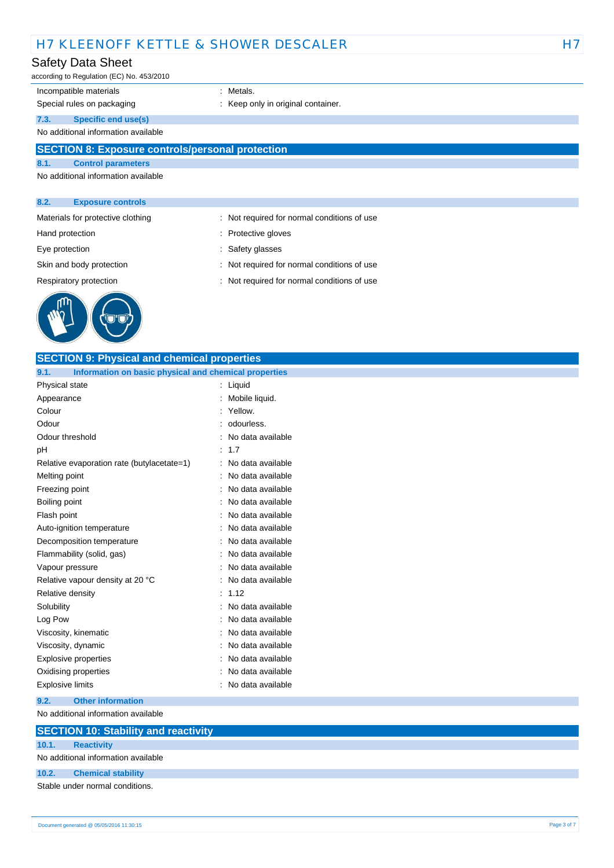## Safety Data Sheet

according to Regulation (EC) No. 453/2010

## Incompatible materials **incompatible** materials

Special rules on packaging **interpretate and the Special rules** on packaging in the sector of the Special rules

**7.3. Specific end use(s)**

No additional information available

## **SECTION 8: Exposure controls/personal protection**

**8.1. Control parameters**

No additional information available

#### **8.2. Exposure controls**

- Materials for protective clothing : Not required for normal conditions of use
- 
- Hand protection **in the contract of the Contract Serverse** entering in the Protective gloves
- Eye protection  $\qquad \qquad$ : Safety glasses
- Skin and body protection : Not required for normal conditions of use
- Respiratory protection : Not required for normal conditions of use



| <b>SECTION 9: Physical and chemical properties</b>            |                   |
|---------------------------------------------------------------|-------------------|
| 9.1.<br>Information on basic physical and chemical properties |                   |
| Physical state                                                | : Liquid          |
| Appearance                                                    | Mobile liquid.    |
| Colour                                                        | Yellow.           |
| Odour                                                         | odourless.        |
| Odour threshold                                               | No data available |
| pН                                                            | 1.7               |
| Relative evaporation rate (butylacetate=1)                    | No data available |
| Melting point                                                 | No data available |
| Freezing point                                                | No data available |
| Boiling point                                                 | No data available |
| Flash point                                                   | No data available |
| Auto-ignition temperature                                     | No data available |
| Decomposition temperature                                     | No data available |
| Flammability (solid, gas)                                     | No data available |
| Vapour pressure                                               | No data available |
| Relative vapour density at 20 °C                              | No data available |
| Relative density                                              | 1.12              |
| Solubility                                                    | No data available |
| Log Pow                                                       | No data available |
| Viscosity, kinematic                                          | No data available |
| Viscosity, dynamic                                            | No data available |
| <b>Explosive properties</b>                                   | No data available |
| Oxidising properties                                          | No data available |
| Explosive limits                                              | No data available |
| 9.2.<br><b>Other information</b>                              |                   |
| No additional information available                           |                   |
| <b>SECTION 10: Stability and reactivity</b>                   |                   |
| <b>Reactivity</b><br>10.1.                                    |                   |
| No additional information available                           |                   |
| 10.2.<br><b>Chemical stability</b>                            |                   |

Stable under normal conditions.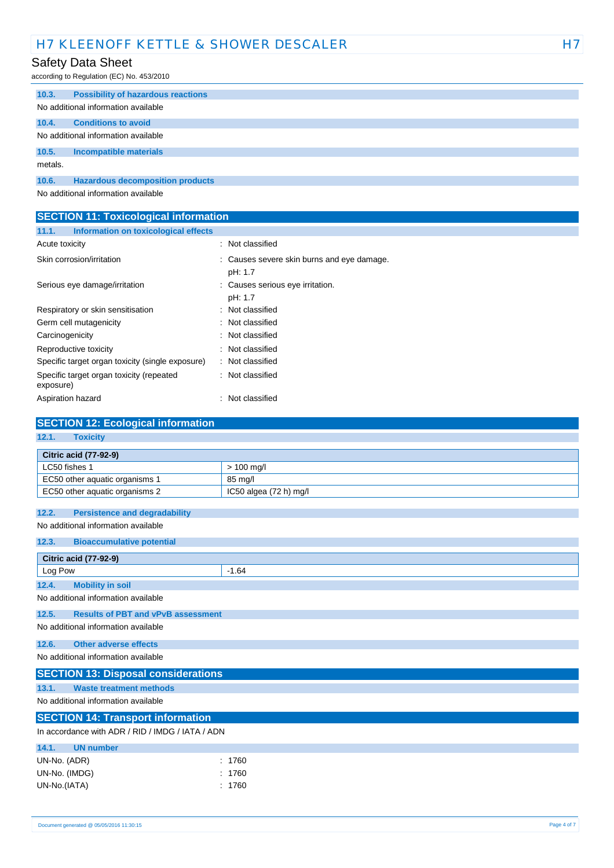## Safety Data Sheet

according to Regulation (EC) No. 453/2010

| 10.3.                               | <b>Possibility of hazardous reactions</b> |  |  |
|-------------------------------------|-------------------------------------------|--|--|
|                                     | No additional information available       |  |  |
| 10.4.                               | <b>Conditions to avoid</b>                |  |  |
| No additional information available |                                           |  |  |
| 10.5.                               | <b>Incompatible materials</b>             |  |  |
| metals.                             |                                           |  |  |
| 10.6.                               | <b>Hazardous decomposition products</b>   |  |  |
| No additional information available |                                           |  |  |

| <b>SECTION 11: Toxicological information</b>          |                                                       |
|-------------------------------------------------------|-------------------------------------------------------|
| Information on toxicological effects<br>11.1.         |                                                       |
| Acute toxicity                                        | : Not classified                                      |
| Skin corrosion/irritation                             | : Causes severe skin burns and eye damage.<br>pH: 1.7 |
| Serious eye damage/irritation                         | : Causes serious eye irritation.<br>pH: 1.7           |
| Respiratory or skin sensitisation                     | : Not classified                                      |
| Germ cell mutagenicity                                | : Not classified                                      |
| Carcinogenicity                                       | : Not classified                                      |
| Reproductive toxicity                                 | : Not classified                                      |
| Specific target organ toxicity (single exposure)      | : Not classified                                      |
| Specific target organ toxicity (repeated<br>exposure) | : Not classified                                      |
| Aspiration hazard                                     | Not classified                                        |

| <b>SECTION 12: Ecological information</b>          |                        |  |
|----------------------------------------------------|------------------------|--|
| 12.1.<br><b>Toxicity</b>                           |                        |  |
| <b>Citric acid (77-92-9)</b>                       |                        |  |
| LC50 fishes 1                                      | $> 100$ mg/l           |  |
| EC50 other aquatic organisms 1                     | 85 mg/l                |  |
| EC50 other aquatic organisms 2                     | IC50 algea (72 h) mg/l |  |
| <b>Persistence and degradability</b><br>12.2.      |                        |  |
| No additional information available                |                        |  |
| <b>Bioaccumulative potential</b><br>12.3.          |                        |  |
| <b>Citric acid (77-92-9)</b>                       |                        |  |
| Log Pow                                            | $-1.64$                |  |
| <b>Mobility in soil</b><br>12.4.                   |                        |  |
| No additional information available                |                        |  |
| <b>Results of PBT and vPvB assessment</b><br>12.5. |                        |  |
| No additional information available                |                        |  |
| <b>Other adverse effects</b><br>12.6.              |                        |  |
| No additional information available                |                        |  |
| <b>SECTION 13: Disposal considerations</b>         |                        |  |
| <b>Waste treatment methods</b><br>13.1.            |                        |  |
| No additional information available                |                        |  |
| <b>SECTION 14: Transport information</b>           |                        |  |
| In accordance with ADR / RID / IMDG / IATA / ADN   |                        |  |
| 14.1.<br><b>UN number</b>                          |                        |  |
| UN-No. (ADR)                                       | 1760                   |  |
| UN-No. (IMDG)                                      | 1760                   |  |
| UN-No.(IATA)                                       | 1760                   |  |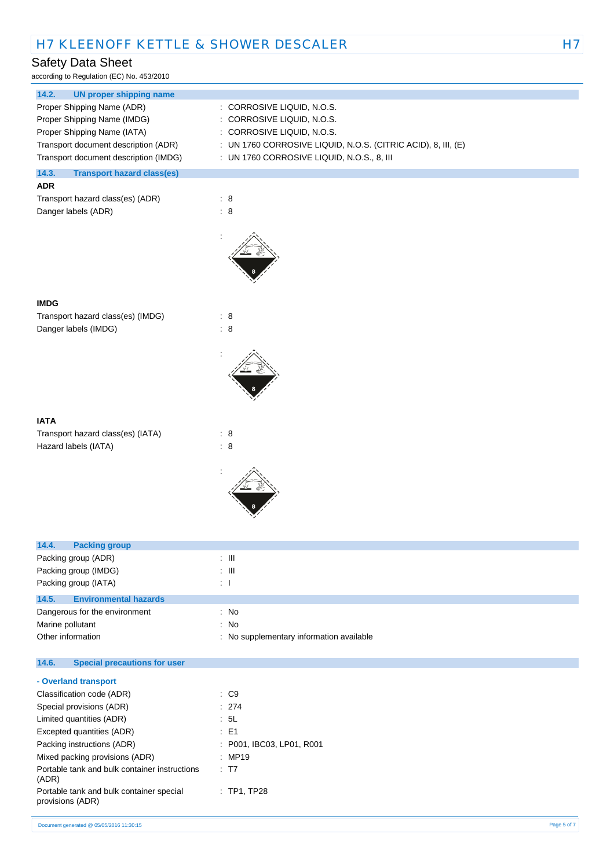## Safety Data Sheet

according to Regulation (EC) No. 453/2010

| 14.2.<br><b>UN proper shipping name</b>                      |                                                               |
|--------------------------------------------------------------|---------------------------------------------------------------|
| Proper Shipping Name (ADR)                                   | : CORROSIVE LIQUID, N.O.S.                                    |
| Proper Shipping Name (IMDG)                                  | CORROSIVE LIQUID, N.O.S.<br>÷.                                |
| Proper Shipping Name (IATA)                                  | : CORROSIVE LIQUID, N.O.S.                                    |
| Transport document description (ADR)                         | : UN 1760 CORROSIVE LIQUID, N.O.S. (CITRIC ACID), 8, III, (E) |
| Transport document description (IMDG)                        | : UN 1760 CORROSIVE LIQUID, N.O.S., 8, III                    |
| 14.3.<br><b>Transport hazard class(es)</b>                   |                                                               |
| <b>ADR</b>                                                   |                                                               |
| Transport hazard class(es) (ADR)                             | : 8                                                           |
| Danger labels (ADR)                                          | : 8                                                           |
|                                                              |                                                               |
|                                                              |                                                               |
| <b>IMDG</b>                                                  |                                                               |
| Transport hazard class(es) (IMDG)                            | : 8                                                           |
| Danger labels (IMDG)                                         | $\therefore$ 8                                                |
|                                                              |                                                               |
|                                                              |                                                               |
| <b>IATA</b>                                                  |                                                               |
| Transport hazard class(es) (IATA)                            | : 8                                                           |
| Hazard labels (IATA)                                         | : 8                                                           |
|                                                              |                                                               |
|                                                              |                                                               |
| 14.4.<br><b>Packing group</b>                                |                                                               |
| Packing group (ADR)                                          | $\pm$ 111                                                     |
| Packing group (IMDG)                                         | $\pm$ 111                                                     |
| Packing group (IATA)                                         | $\mathbf{1}$                                                  |
| 14.5.<br><b>Environmental hazards</b>                        |                                                               |
| Dangerous for the environment                                | : No                                                          |
| Marine pollutant                                             | : No                                                          |
| Other information                                            | No supplementary information available<br>÷                   |
| 14.6.<br><b>Special precautions for user</b>                 |                                                               |
| - Overland transport                                         |                                                               |
| Classification code (ADR)                                    | $\therefore$ C9                                               |
| Special provisions (ADR)                                     | : 274                                                         |
| Limited quantities (ADR)                                     | : 5L                                                          |
| Excepted quantities (ADR)                                    | E <sub>1</sub><br>÷                                           |
| Packing instructions (ADR)                                   | P001, IBC03, LP01, R001<br>÷                                  |
| Mixed packing provisions (ADR)                               | : MP19                                                        |
| Portable tank and bulk container instructions<br>(ADR)       | : T7                                                          |
| Portable tank and bulk container special<br>provisions (ADR) | : TP1, TP28                                                   |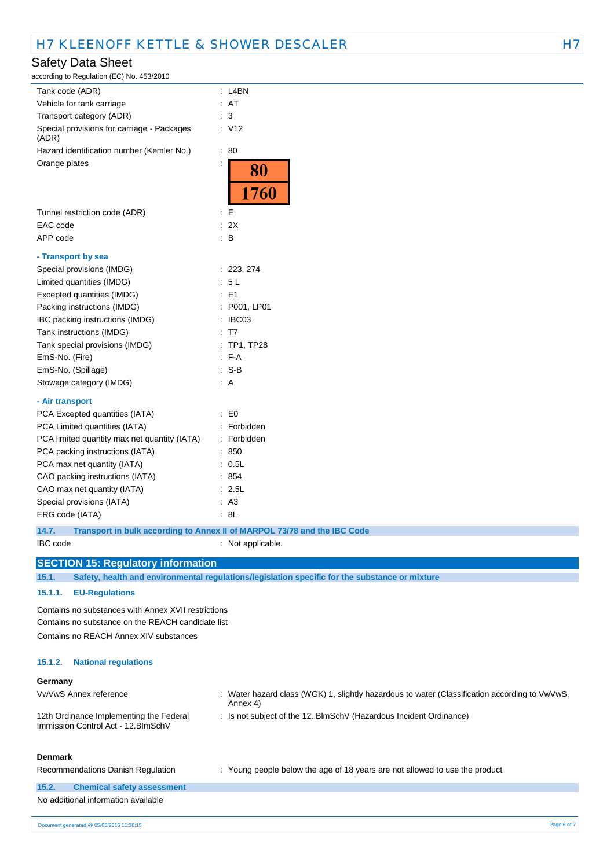| <b>Safety Data Sheet</b>                            |                                                                                                |  |
|-----------------------------------------------------|------------------------------------------------------------------------------------------------|--|
| according to Regulation (EC) No. 453/2010           |                                                                                                |  |
| Tank code (ADR)                                     | $:$ L4BN                                                                                       |  |
| Vehicle for tank carriage                           | : AT                                                                                           |  |
| Transport category (ADR)                            | : 3                                                                                            |  |
| Special provisions for carriage - Packages<br>(ADR) | : V12                                                                                          |  |
| Hazard identification number (Kemler No.)           | : 80                                                                                           |  |
| Orange plates                                       | ÷<br>80<br>1760                                                                                |  |
| Tunnel restriction code (ADR)                       | $\mathbf{E}$                                                                                   |  |
| EAC code                                            | : 2X                                                                                           |  |
| APP code                                            | $\therefore$ B                                                                                 |  |
| - Transport by sea                                  |                                                                                                |  |
| Special provisions (IMDG)                           | : 223, 274                                                                                     |  |
| Limited quantities (IMDG)                           | : 5L                                                                                           |  |
| Excepted quantities (IMDG)                          | $\therefore$ E1                                                                                |  |
| Packing instructions (IMDG)                         | : P001, LP01                                                                                   |  |
| IBC packing instructions (IMDG)                     | : IBC03                                                                                        |  |
| Tank instructions (IMDG)                            | : T7                                                                                           |  |
| Tank special provisions (IMDG)                      | : TP1, TP28                                                                                    |  |
| EmS-No. (Fire)                                      | $: F-A$                                                                                        |  |
| EmS-No. (Spillage)                                  | $: S-B$                                                                                        |  |
| Stowage category (IMDG)                             | : A                                                                                            |  |
| - Air transport                                     |                                                                                                |  |
| PCA Excepted quantities (IATA)                      | $\cdot$ EO                                                                                     |  |
| PCA Limited quantities (IATA)                       | : Forbidden                                                                                    |  |
| PCA limited quantity max net quantity (IATA)        | : Forbidden                                                                                    |  |
| PCA packing instructions (IATA)                     | : 850                                                                                          |  |
| PCA max net quantity (IATA)                         | : 0.5L                                                                                         |  |
| CAO packing instructions (IATA)                     | : 854                                                                                          |  |
| CAO max net quantity (IATA)                         | : 2.5L                                                                                         |  |
| Special provisions (IATA)                           | : A3                                                                                           |  |
| ERG code (IATA)                                     | : 8L                                                                                           |  |
| 14.7.                                               | Transport in bulk according to Annex II of MARPOL 73/78 and the IBC Code                       |  |
| IBC code                                            | : Not applicable.                                                                              |  |
| <b>SECTION 15: Regulatory information</b>           |                                                                                                |  |
| 15.1.                                               | Safety, health and environmental regulations/legislation specific for the substance or mixture |  |
| 15.1.1.<br><b>EU-Regulations</b>                    |                                                                                                |  |
| Contains no substances with Annex XVII restrictions |                                                                                                |  |
| Contains no substance on the REACH candidate list   |                                                                                                |  |
| Contains no REACH Annex XIV substances              |                                                                                                |  |
|                                                     |                                                                                                |  |

#### **15.1.2. National regulations**

#### **Germany**

| ---------                                                                      |                                                                                                           |  |
|--------------------------------------------------------------------------------|-----------------------------------------------------------------------------------------------------------|--|
| VwVwS Annex reference                                                          | : Water hazard class (WGK) 1, slightly hazardous to water (Classification according to VwVwS,<br>Annex 4) |  |
| 12th Ordinance Implementing the Federal<br>Immission Control Act - 12. BlmSchV | : Is not subject of the 12. BlmSchV (Hazardous Incident Ordinance)                                        |  |
| <b>Denmark</b>                                                                 |                                                                                                           |  |

## Recommendations Danish Regulation : Young people below the age of 18 years are not allowed to use the product **15.2. Chemical safety assessment**

#### No additional information available